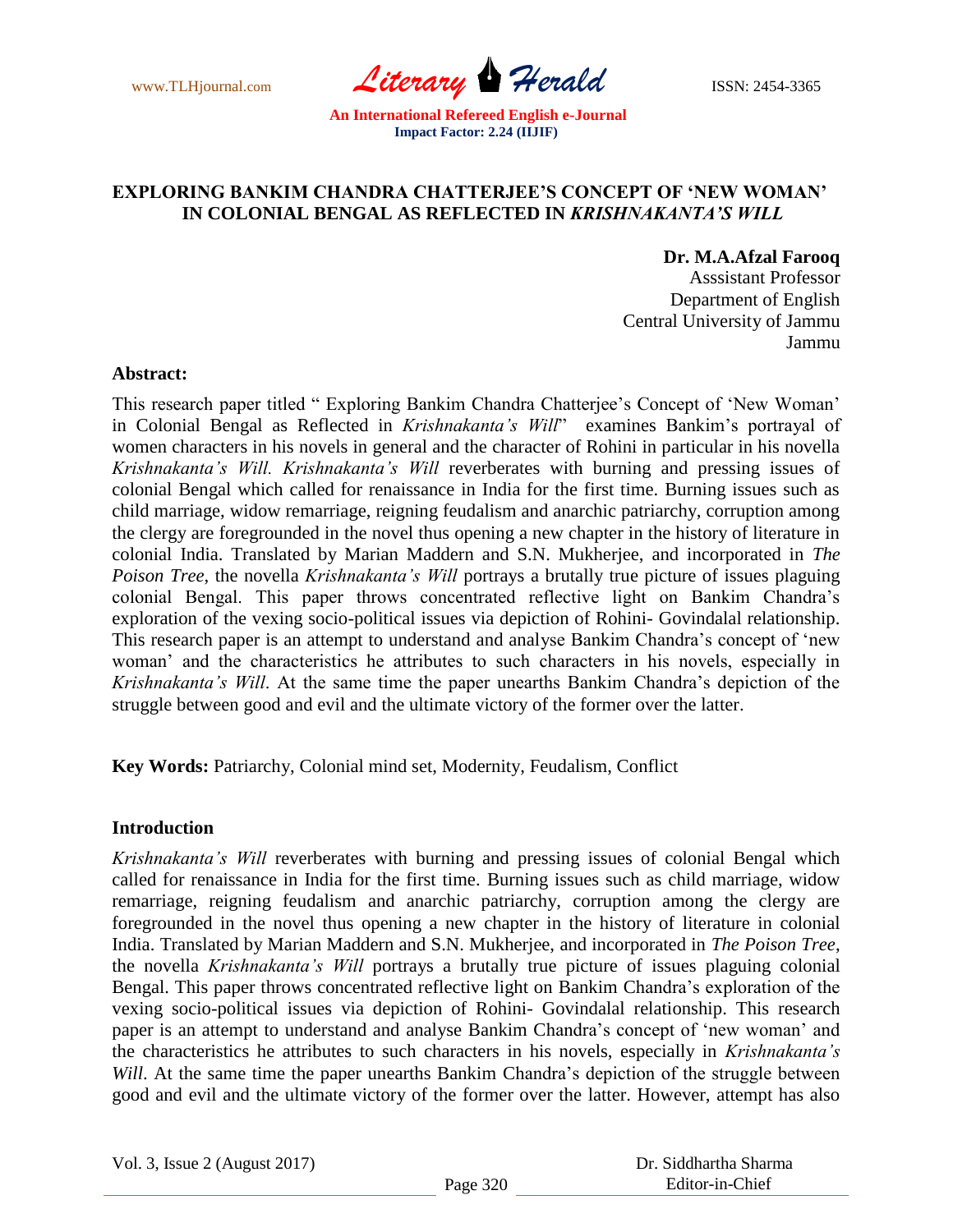www.TLHjournal.com *Literary Herald* ISSN: 2454-3365

# **EXPLORING BANKIM CHANDRA CHATTERJEE'S CONCEPT OF 'NEW WOMAN' IN COLONIAL BENGAL AS REFLECTED IN** *KRISHNAKANTA'S WILL*

# **Dr. M.A.Afzal Farooq**

Asssistant Professor Department of English Central University of Jammu Jammu

## **Abstract:**

This research paper titled " Exploring Bankim Chandra Chatterjee's Concept of 'New Woman' in Colonial Bengal as Reflected in *Krishnakanta's Will*" examines Bankim"s portrayal of women characters in his novels in general and the character of Rohini in particular in his novella *Krishnakanta's Will. Krishnakanta's Will* reverberates with burning and pressing issues of colonial Bengal which called for renaissance in India for the first time. Burning issues such as child marriage, widow remarriage, reigning feudalism and anarchic patriarchy, corruption among the clergy are foregrounded in the novel thus opening a new chapter in the history of literature in colonial India. Translated by Marian Maddern and S.N. Mukherjee, and incorporated in *The Poison Tree*, the novella *Krishnakanta's Will* portrays a brutally true picture of issues plaguing colonial Bengal. This paper throws concentrated reflective light on Bankim Chandra"s exploration of the vexing socio-political issues via depiction of Rohini- Govindalal relationship. This research paper is an attempt to understand and analyse Bankim Chandra"s concept of "new woman" and the characteristics he attributes to such characters in his novels, especially in *Krishnakanta's Will*. At the same time the paper unearths Bankim Chandra"s depiction of the struggle between good and evil and the ultimate victory of the former over the latter.

**Key Words:** Patriarchy, Colonial mind set, Modernity, Feudalism, Conflict

#### **Introduction**

*Krishnakanta's Will* reverberates with burning and pressing issues of colonial Bengal which called for renaissance in India for the first time. Burning issues such as child marriage, widow remarriage, reigning feudalism and anarchic patriarchy, corruption among the clergy are foregrounded in the novel thus opening a new chapter in the history of literature in colonial India. Translated by Marian Maddern and S.N. Mukherjee, and incorporated in *The Poison Tree*, the novella *Krishnakanta's Will* portrays a brutally true picture of issues plaguing colonial Bengal. This paper throws concentrated reflective light on Bankim Chandra's exploration of the vexing socio-political issues via depiction of Rohini- Govindalal relationship. This research paper is an attempt to understand and analyse Bankim Chandra"s concept of "new woman" and the characteristics he attributes to such characters in his novels, especially in *Krishnakanta's Will*. At the same time the paper unearths Bankim Chandra's depiction of the struggle between good and evil and the ultimate victory of the former over the latter. However, attempt has also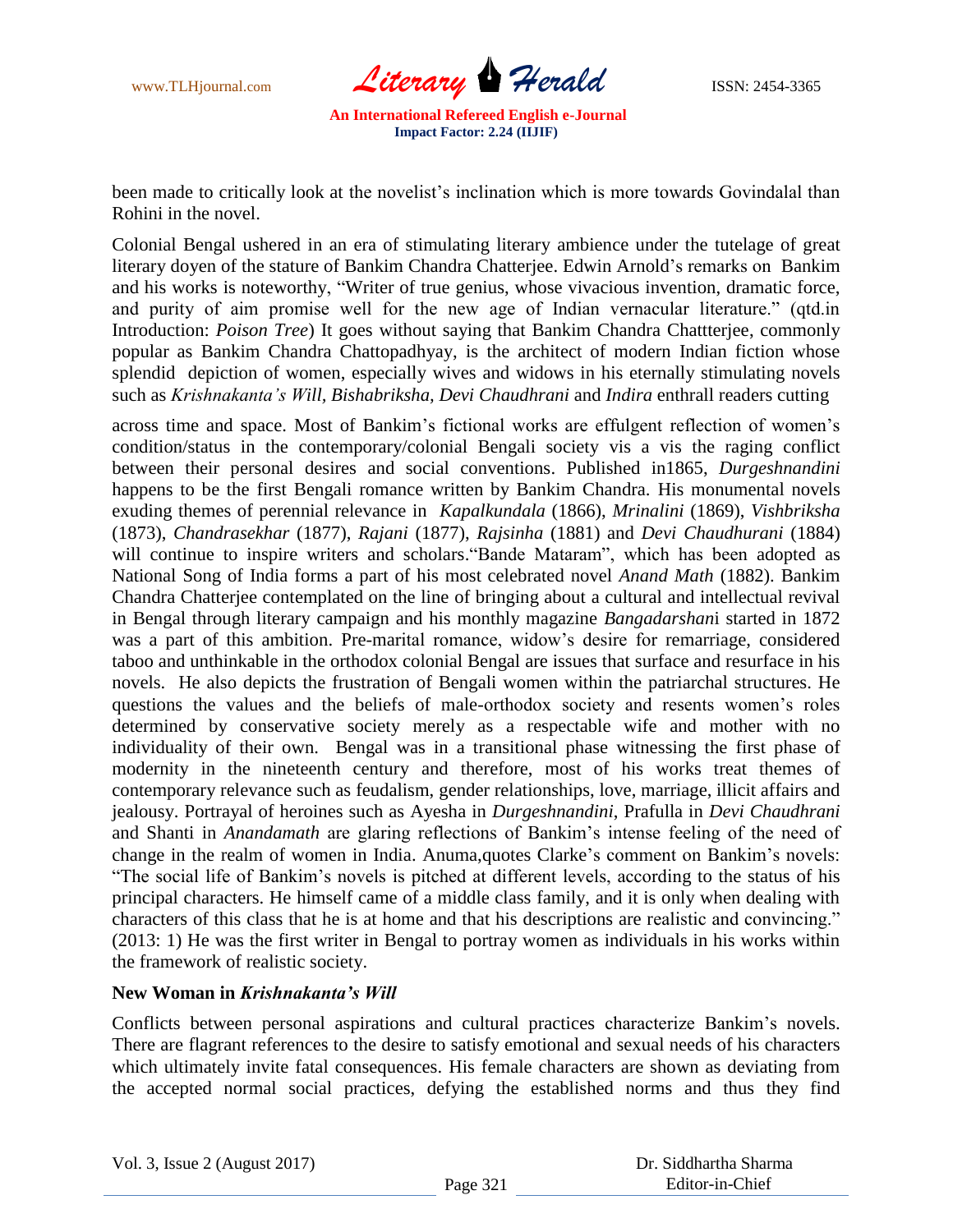

been made to critically look at the novelist's inclination which is more towards Govindalal than Rohini in the novel.

Colonial Bengal ushered in an era of stimulating literary ambience under the tutelage of great literary doyen of the stature of Bankim Chandra Chatterjee. Edwin Arnold"s remarks on Bankim and his works is noteworthy, "Writer of true genius, whose vivacious invention, dramatic force, and purity of aim promise well for the new age of Indian vernacular literature." (qtd.in Introduction: *Poison Tree*) It goes without saying that Bankim Chandra Chattterjee, commonly popular as Bankim Chandra Chattopadhyay, is the architect of modern Indian fiction whose splendid depiction of women, especially wives and widows in his eternally stimulating novels such as *Krishnakanta's Will, Bishabriksha, Devi Chaudhrani* and *Indira* enthrall readers cutting

across time and space. Most of Bankim"s fictional works are effulgent reflection of women"s condition/status in the contemporary/colonial Bengali society vis a vis the raging conflict between their personal desires and social conventions. Published in1865, *Durgeshnandini* happens to be the first Bengali romance written by Bankim Chandra. His monumental novels exuding themes of perennial relevance in *Kapalkundala* (1866), *Mrinalini* (1869), *Vishbriksha* (1873), *Chandrasekhar* (1877), *Rajani* (1877), *Rajsinha* (1881) and *Devi Chaudhurani* (1884) will continue to inspire writers and scholars."Bande Mataram", which has been adopted as National Song of India forms a part of his most celebrated novel *Anand Math* (1882). Bankim Chandra Chatterjee contemplated on the line of bringing about a cultural and intellectual revival in Bengal through literary campaign and his monthly magazine *Bangadarshan*i started in 1872 was a part of this ambition. Pre-marital romance, widow"s desire for remarriage, considered taboo and unthinkable in the orthodox colonial Bengal are issues that surface and resurface in his novels. He also depicts the frustration of Bengali women within the patriarchal structures. He questions the values and the beliefs of male-orthodox society and resents women"s roles determined by conservative society merely as a respectable wife and mother with no individuality of their own. Bengal was in a transitional phase witnessing the first phase of modernity in the nineteenth century and therefore, most of his works treat themes of contemporary relevance such as feudalism, gender relationships, love, marriage, illicit affairs and jealousy. Portrayal of heroines such as Ayesha in *Durgeshnandini*, Prafulla in *Devi Chaudhrani* and Shanti in *Anandamath* are glaring reflections of Bankim"s intense feeling of the need of change in the realm of women in India. Anuma, quotes Clarke's comment on Bankim's novels: "The social life of Bankim"s novels is pitched at different levels, according to the status of his principal characters. He himself came of a middle class family, and it is only when dealing with characters of this class that he is at home and that his descriptions are realistic and convincing." (2013: 1) He was the first writer in Bengal to portray women as individuals in his works within the framework of realistic society.

## **New Woman in** *Krishnakanta's Will*

Conflicts between personal aspirations and cultural practices characterize Bankim"s novels. There are flagrant references to the desire to satisfy emotional and sexual needs of his characters which ultimately invite fatal consequences. His female characters are shown as deviating from the accepted normal social practices, defying the established norms and thus they find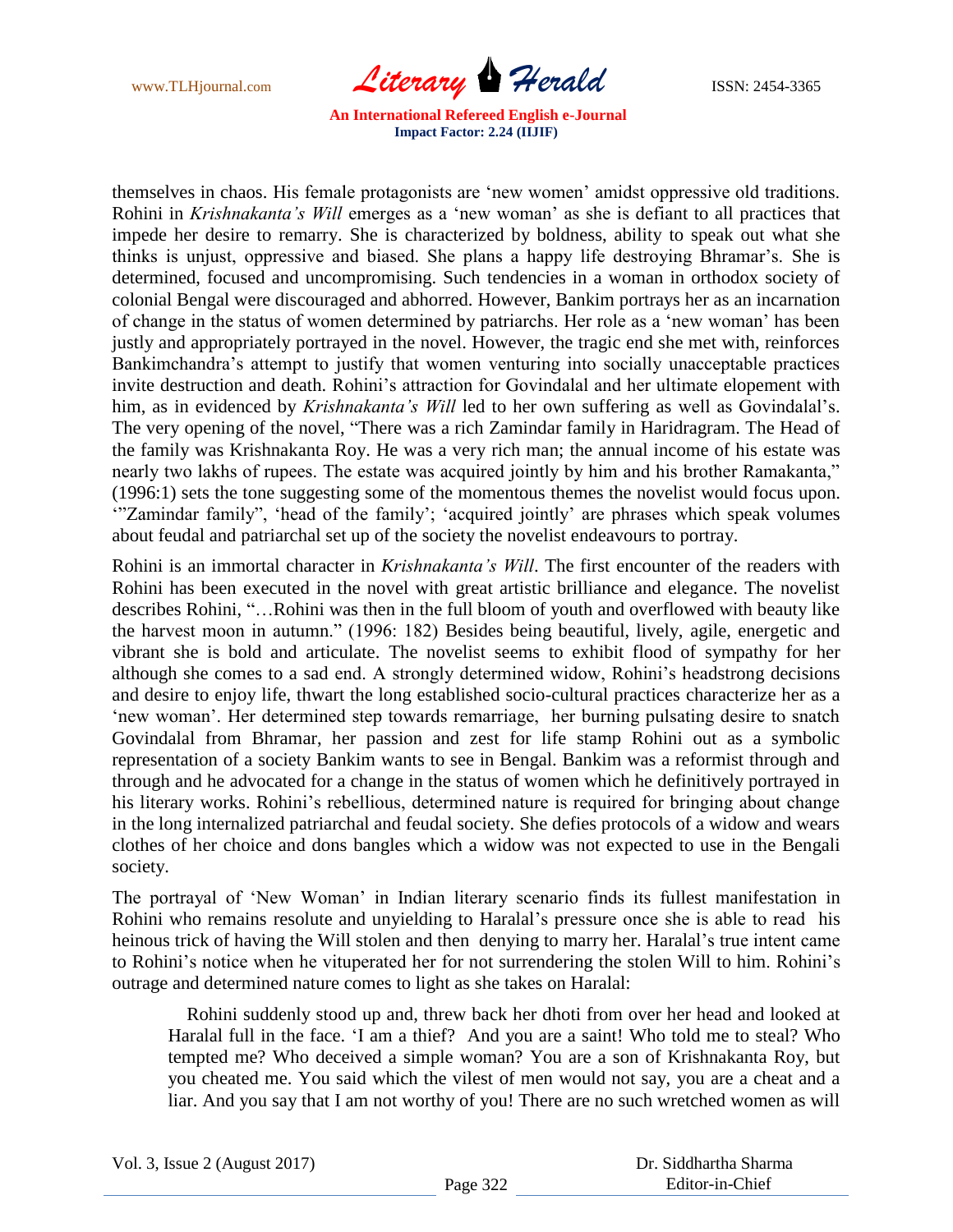www.TLHjournal.com *Literary Herald* ISSN: 2454-3365

themselves in chaos. His female protagonists are "new women" amidst oppressive old traditions. Rohini in *Krishnakanta's Will* emerges as a "new woman" as she is defiant to all practices that impede her desire to remarry. She is characterized by boldness, ability to speak out what she thinks is unjust, oppressive and biased. She plans a happy life destroying Bhramar"s. She is determined, focused and uncompromising. Such tendencies in a woman in orthodox society of colonial Bengal were discouraged and abhorred. However, Bankim portrays her as an incarnation of change in the status of women determined by patriarchs. Her role as a "new woman" has been justly and appropriately portrayed in the novel. However, the tragic end she met with, reinforces Bankimchandra"s attempt to justify that women venturing into socially unacceptable practices invite destruction and death. Rohini's attraction for Govindalal and her ultimate elopement with him, as in evidenced by *Krishnakanta's Will* led to her own suffering as well as Govindalal's. The very opening of the novel, "There was a rich Zamindar family in Haridragram. The Head of the family was Krishnakanta Roy. He was a very rich man; the annual income of his estate was nearly two lakhs of rupees. The estate was acquired jointly by him and his brother Ramakanta," (1996:1) sets the tone suggesting some of the momentous themes the novelist would focus upon. "Zamindar family", 'head of the family'; 'acquired jointly' are phrases which speak volumes about feudal and patriarchal set up of the society the novelist endeavours to portray.

Rohini is an immortal character in *Krishnakanta's Will*. The first encounter of the readers with Rohini has been executed in the novel with great artistic brilliance and elegance. The novelist describes Rohini, "…Rohini was then in the full bloom of youth and overflowed with beauty like the harvest moon in autumn." (1996: 182) Besides being beautiful, lively, agile, energetic and vibrant she is bold and articulate. The novelist seems to exhibit flood of sympathy for her although she comes to a sad end. A strongly determined widow, Rohini"s headstrong decisions and desire to enjoy life, thwart the long established socio-cultural practices characterize her as a 'new woman'. Her determined step towards remarriage, her burning pulsating desire to snatch Govindalal from Bhramar, her passion and zest for life stamp Rohini out as a symbolic representation of a society Bankim wants to see in Bengal. Bankim was a reformist through and through and he advocated for a change in the status of women which he definitively portrayed in his literary works. Rohini's rebellious, determined nature is required for bringing about change in the long internalized patriarchal and feudal society. She defies protocols of a widow and wears clothes of her choice and dons bangles which a widow was not expected to use in the Bengali society.

The portrayal of "New Woman" in Indian literary scenario finds its fullest manifestation in Rohini who remains resolute and unyielding to Haralal"s pressure once she is able to read his heinous trick of having the Will stolen and then denying to marry her. Haralal's true intent came to Rohini's notice when he vituperated her for not surrendering the stolen Will to him. Rohini's outrage and determined nature comes to light as she takes on Haralal:

 Rohini suddenly stood up and, threw back her dhoti from over her head and looked at Haralal full in the face. "I am a thief? And you are a saint! Who told me to steal? Who tempted me? Who deceived a simple woman? You are a son of Krishnakanta Roy, but you cheated me. You said which the vilest of men would not say, you are a cheat and a liar. And you say that I am not worthy of you! There are no such wretched women as will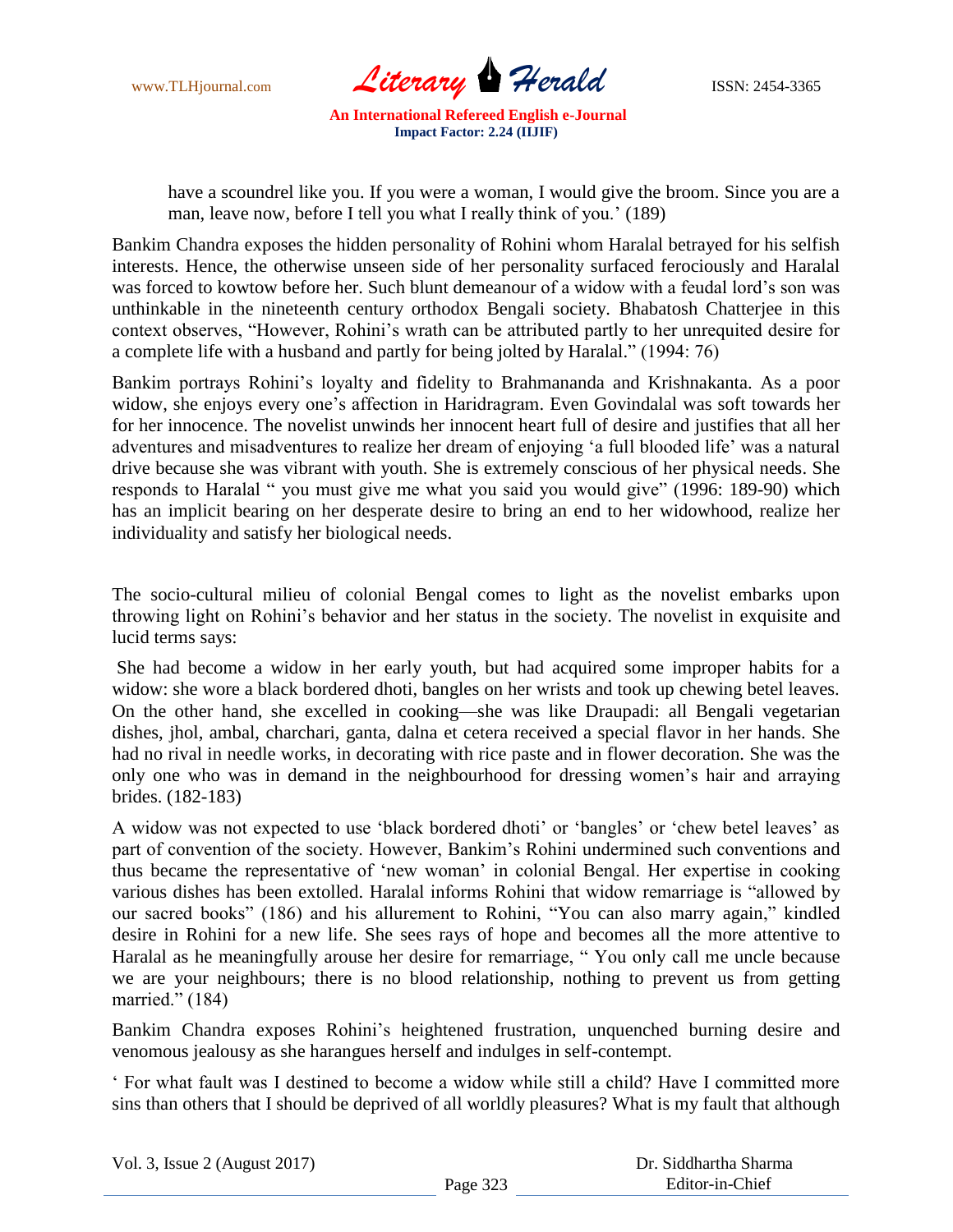www.TLHjournal.com *Literary Herald* ISSN: 2454-3365

have a scoundrel like you. If you were a woman, I would give the broom. Since you are a man, leave now, before I tell you what I really think of you.' (189)

Bankim Chandra exposes the hidden personality of Rohini whom Haralal betrayed for his selfish interests. Hence, the otherwise unseen side of her personality surfaced ferociously and Haralal was forced to kowtow before her. Such blunt demeanour of a widow with a feudal lord"s son was unthinkable in the nineteenth century orthodox Bengali society. Bhabatosh Chatterjee in this context observes, "However, Rohini"s wrath can be attributed partly to her unrequited desire for a complete life with a husband and partly for being jolted by Haralal." (1994: 76)

Bankim portrays Rohini"s loyalty and fidelity to Brahmananda and Krishnakanta. As a poor widow, she enjoys every one's affection in Haridragram. Even Govindalal was soft towards her for her innocence. The novelist unwinds her innocent heart full of desire and justifies that all her adventures and misadventures to realize her dream of enjoying "a full blooded life" was a natural drive because she was vibrant with youth. She is extremely conscious of her physical needs. She responds to Haralal " you must give me what you said you would give" (1996: 189-90) which has an implicit bearing on her desperate desire to bring an end to her widowhood, realize her individuality and satisfy her biological needs.

The socio-cultural milieu of colonial Bengal comes to light as the novelist embarks upon throwing light on Rohini"s behavior and her status in the society. The novelist in exquisite and lucid terms says:

She had become a widow in her early youth, but had acquired some improper habits for a widow: she wore a black bordered dhoti, bangles on her wrists and took up chewing betel leaves. On the other hand, she excelled in cooking—she was like Draupadi: all Bengali vegetarian dishes, jhol, ambal, charchari, ganta, dalna et cetera received a special flavor in her hands. She had no rival in needle works, in decorating with rice paste and in flower decoration. She was the only one who was in demand in the neighbourhood for dressing women"s hair and arraying brides. (182-183)

A widow was not expected to use 'black bordered dhoti' or 'bangles' or 'chew betel leaves' as part of convention of the society. However, Bankim"s Rohini undermined such conventions and thus became the representative of "new woman" in colonial Bengal. Her expertise in cooking various dishes has been extolled. Haralal informs Rohini that widow remarriage is "allowed by our sacred books" (186) and his allurement to Rohini, "You can also marry again," kindled desire in Rohini for a new life. She sees rays of hope and becomes all the more attentive to Haralal as he meaningfully arouse her desire for remarriage, " You only call me uncle because we are your neighbours; there is no blood relationship, nothing to prevent us from getting married." (184)

Bankim Chandra exposes Rohini"s heightened frustration, unquenched burning desire and venomous jealousy as she harangues herself and indulges in self-contempt.

" For what fault was I destined to become a widow while still a child? Have I committed more sins than others that I should be deprived of all worldly pleasures? What is my fault that although

Vol. 3, Issue 2 (August 2017)

 Dr. Siddhartha Sharma Editor-in-Chief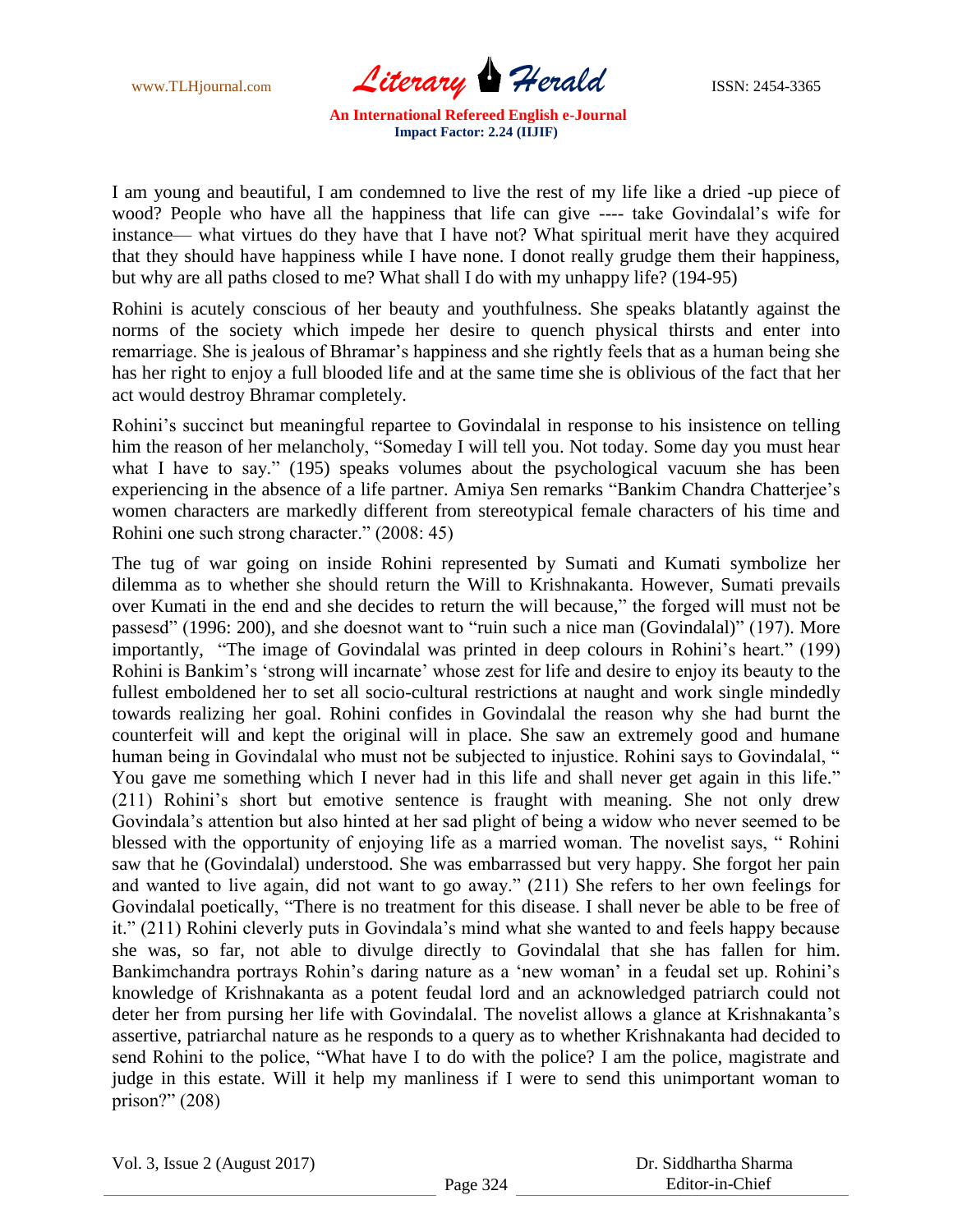www.TLHjournal.com *Literary* Herald **ISSN: 2454-3365** 

I am young and beautiful, I am condemned to live the rest of my life like a dried -up piece of wood? People who have all the happiness that life can give ---- take Govindalal"s wife for instance— what virtues do they have that I have not? What spiritual merit have they acquired that they should have happiness while I have none. I donot really grudge them their happiness, but why are all paths closed to me? What shall I do with my unhappy life? (194-95)

Rohini is acutely conscious of her beauty and youthfulness. She speaks blatantly against the norms of the society which impede her desire to quench physical thirsts and enter into remarriage. She is jealous of Bhramar"s happiness and she rightly feels that as a human being she has her right to enjoy a full blooded life and at the same time she is oblivious of the fact that her act would destroy Bhramar completely.

Rohini's succinct but meaningful repartee to Govindalal in response to his insistence on telling him the reason of her melancholy, "Someday I will tell you. Not today. Some day you must hear what I have to say." (195) speaks volumes about the psychological vacuum she has been experiencing in the absence of a life partner. Amiya Sen remarks "Bankim Chandra Chatterjee's women characters are markedly different from stereotypical female characters of his time and Rohini one such strong character." (2008: 45)

The tug of war going on inside Rohini represented by Sumati and Kumati symbolize her dilemma as to whether she should return the Will to Krishnakanta. However, Sumati prevails over Kumati in the end and she decides to return the will because," the forged will must not be passesd" (1996: 200), and she doesnot want to "ruin such a nice man (Govindalal)" (197). More importantly, "The image of Govindalal was printed in deep colours in Rohini's heart." (199) Rohini is Bankim's 'strong will incarnate' whose zest for life and desire to enjoy its beauty to the fullest emboldened her to set all socio-cultural restrictions at naught and work single mindedly towards realizing her goal. Rohini confides in Govindalal the reason why she had burnt the counterfeit will and kept the original will in place. She saw an extremely good and humane human being in Govindalal who must not be subjected to injustice. Rohini says to Govindalal, " You gave me something which I never had in this life and shall never get again in this life." (211) Rohini"s short but emotive sentence is fraught with meaning. She not only drew Govindala"s attention but also hinted at her sad plight of being a widow who never seemed to be blessed with the opportunity of enjoying life as a married woman. The novelist says, " Rohini saw that he (Govindalal) understood. She was embarrassed but very happy. She forgot her pain and wanted to live again, did not want to go away." (211) She refers to her own feelings for Govindalal poetically, "There is no treatment for this disease. I shall never be able to be free of it." (211) Rohini cleverly puts in Govindala"s mind what she wanted to and feels happy because she was, so far, not able to divulge directly to Govindalal that she has fallen for him. Bankimchandra portrays Rohin's daring nature as a 'new woman' in a feudal set up. Rohini's knowledge of Krishnakanta as a potent feudal lord and an acknowledged patriarch could not deter her from pursing her life with Govindalal. The novelist allows a glance at Krishnakanta"s assertive, patriarchal nature as he responds to a query as to whether Krishnakanta had decided to send Rohini to the police, "What have I to do with the police? I am the police, magistrate and judge in this estate. Will it help my manliness if I were to send this unimportant woman to prison?" (208)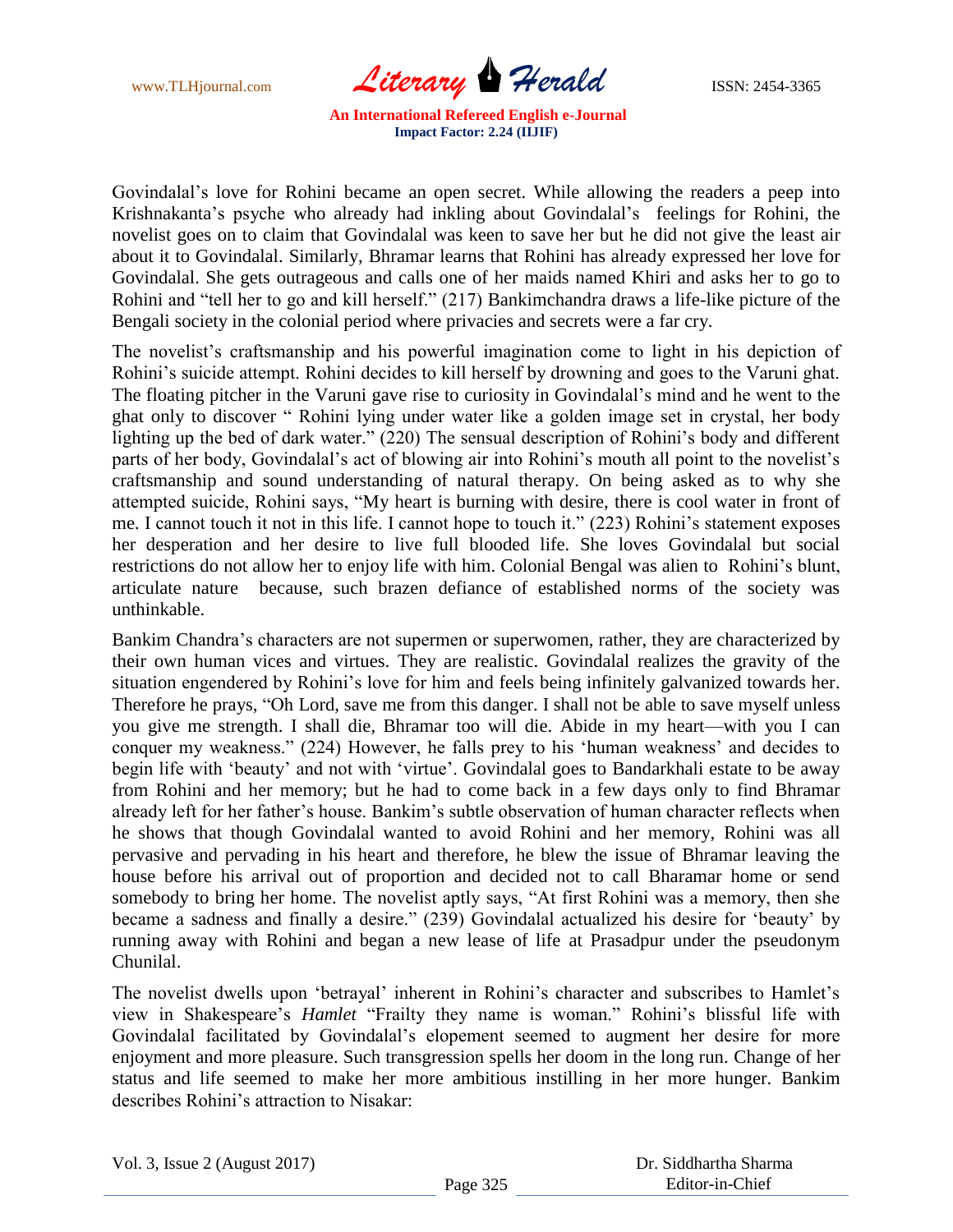www.TLHjournal.com *Literary* Herald **ISSN: 2454-3365** 

Govindalal"s love for Rohini became an open secret. While allowing the readers a peep into Krishnakanta"s psyche who already had inkling about Govindalal"s feelings for Rohini, the novelist goes on to claim that Govindalal was keen to save her but he did not give the least air about it to Govindalal. Similarly, Bhramar learns that Rohini has already expressed her love for Govindalal. She gets outrageous and calls one of her maids named Khiri and asks her to go to Rohini and "tell her to go and kill herself." (217) Bankimchandra draws a life-like picture of the Bengali society in the colonial period where privacies and secrets were a far cry.

The novelist's craftsmanship and his powerful imagination come to light in his depiction of Rohini's suicide attempt. Rohini decides to kill herself by drowning and goes to the Varuni ghat. The floating pitcher in the Varuni gave rise to curiosity in Govindalal"s mind and he went to the ghat only to discover " Rohini lying under water like a golden image set in crystal, her body lighting up the bed of dark water." (220) The sensual description of Rohini's body and different parts of her body, Govindalal's act of blowing air into Rohini's mouth all point to the novelist's craftsmanship and sound understanding of natural therapy. On being asked as to why she attempted suicide, Rohini says, "My heart is burning with desire, there is cool water in front of me. I cannot touch it not in this life. I cannot hope to touch it." (223) Rohini"s statement exposes her desperation and her desire to live full blooded life. She loves Govindalal but social restrictions do not allow her to enjoy life with him. Colonial Bengal was alien to Rohini's blunt, articulate nature because, such brazen defiance of established norms of the society was unthinkable.

Bankim Chandra"s characters are not supermen or superwomen, rather, they are characterized by their own human vices and virtues. They are realistic. Govindalal realizes the gravity of the situation engendered by Rohini's love for him and feels being infinitely galvanized towards her. Therefore he prays, "Oh Lord, save me from this danger. I shall not be able to save myself unless you give me strength. I shall die, Bhramar too will die. Abide in my heart—with you I can conquer my weakness." (224) However, he falls prey to his 'human weakness' and decides to begin life with 'beauty' and not with 'virtue'. Govindalal goes to Bandarkhali estate to be away from Rohini and her memory; but he had to come back in a few days only to find Bhramar already left for her father"s house. Bankim"s subtle observation of human character reflects when he shows that though Govindalal wanted to avoid Rohini and her memory, Rohini was all pervasive and pervading in his heart and therefore, he blew the issue of Bhramar leaving the house before his arrival out of proportion and decided not to call Bharamar home or send somebody to bring her home. The novelist aptly says, "At first Rohini was a memory, then she became a sadness and finally a desire." (239) Govindalal actualized his desire for "beauty" by running away with Rohini and began a new lease of life at Prasadpur under the pseudonym Chunilal.

The novelist dwells upon 'betrayal' inherent in Rohini's character and subscribes to Hamlet's view in Shakespeare"s *Hamlet* "Frailty they name is woman." Rohini"s blissful life with Govindalal facilitated by Govindalal"s elopement seemed to augment her desire for more enjoyment and more pleasure. Such transgression spells her doom in the long run. Change of her status and life seemed to make her more ambitious instilling in her more hunger. Bankim describes Rohini's attraction to Nisakar: